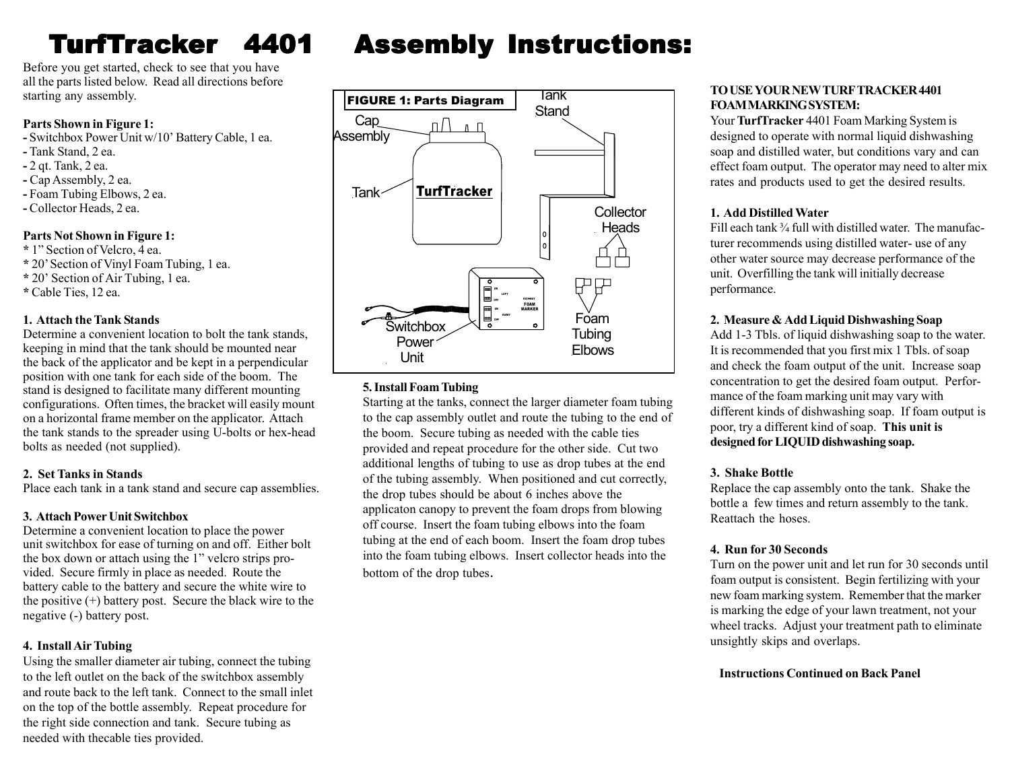# TurfT rac

Before you get started, check to see that you have all the parts listed below. Read all directions before starting any assembly.

#### **Parts Shown in Figure 1:**

- **-** Switchbox Power Unit w/10' Battery Cable, 1 ea.
- **-** Tank Stand, 2 ea.
- **-** 2 qt. Tank, 2 ea.
- **-** Cap Assembly, 2 ea.
- **-** Foam Tubing Elbows, 2 ea.
- **-** Collector Heads, 2 ea.

#### **Parts Not Shown in Figure 1:**

- **\*** 1" Section of Velcro, 4 ea.
- **\*** 20' Section of Vinyl Foam Tubing, 1 ea.
- **\*** 20' Section of Air Tubing, 1 ea.
- **\*** Cable Ties, 12 ea.

#### **1. Attach the Tank Stands**

Determine a convenient location to bolt the tank stands, keeping in mind that the tank should be mounted near the back of the applicator and be kept in a perpendicular position with one tank for each side of the boom. The stand is designed to facilitate many different mounting configurations. Often times, the bracket will easily mount on a horizontal frame member on the applicator. Attach the tank stands to the spreader using U-bolts or hex-head bolts as needed (not supplied).

#### **2. Set Tanks in Stands**

Place each tank in a tank stand and secure cap assemblies.

# **3. Attach Power Unit Switchbox**

Determine a convenient location to place the power unit switchbox for ease of turning on and off. Either bolt the box down or attach using the 1" velcro strips provided. Secure firmly in place as needed. Route the battery cable to the battery and secure the white wire to the positive  $(+)$  battery post. Secure the black wire to the negative (-) battery post.

# **4. Install Air Tubing**

Using the smaller diameter air tubing, connect the tubing to the left outlet on the back of the switchbox assembly and route back to the left tank. Connect to the small inlet on the top of the bottle assembly. Repeat procedure for the right side connection and tank. Secure tubing as needed with thecable ties provided.

# **Assembly Instructions:**



# **5. Install Foam Tubing**

Starting at the tanks, connect the larger diameter foam tubing to the cap assembly outlet and route the tubing to the end of the boom. Secure tubing as needed with the cable ties provided and repeat procedure for the other side. Cut two additional lengths of tubing to use as drop tubes at the end of the tubing assembly. When positioned and cut correctly, the drop tubes should be about 6 inches above the applicaton canopy to prevent the foam drops from blowing off course. Insert the foam tubing elbows into the foam tubing at the end of each boom. Insert the foam drop tubes into the foam tubing elbows. Insert collector heads into the bottom of the drop tubes.

#### **TO USE YOUR NEW TURF TRACKER 4401 FOAM MARKING SYSTEM:**

Your **TurfTracker** 4401 Foam Marking System is designed to operate with normal liquid dishwashing soap and distilled water, but conditions vary and can effect foam output. The operator may need to alter mix rates and products used to get the desired results.

# **1. Add Distilled Water**

Fill each tank <sup>3</sup>/<sub>4</sub> full with distilled water. The manufacturer recommends using distilled water- use of any other water source may decrease performance of the unit. Overfilling the tank will initially decrease performance.

# **2. Measure & Add Liquid Dishwashing Soap**

Add 1-3 Tbls. of liquid dishwashing soap to the water. It is recommended that you first mix 1 Tbls. of soap and check the foam output of the unit. Increase soap concentration to get the desired foam output. Performance of the foam marking unit may vary with different kinds of dishwashing soap. If foam output is poor, try a different kind of soap. **This unit is designed for LIQUID dishwashing soap.**

# **3. Shake Bottle**

Replace the cap assembly onto the tank. Shake the bottle a few times and return assembly to the tank. Reattach the hoses.

# **4. Run for 30 Seconds**

Turn on the power unit and let run for 30 seconds until foam output is consistent. Begin fertilizing with your new foam marking system. Remember that the marker is marking the edge of your lawn treatment, not your wheel tracks. Adjust your treatment path to eliminate unsightly skips and overlaps.

#### **Instructions Continued on Back Panel**